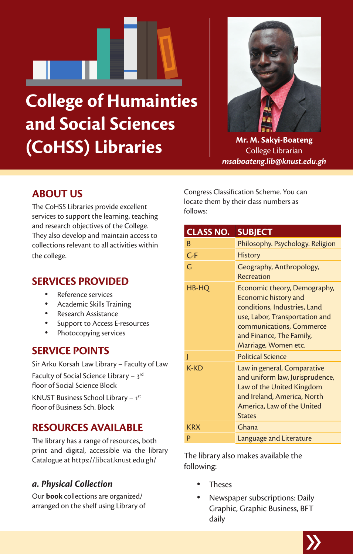# **College of Humainties and Social Sciences (CoHSS) Libraries**



**Mr. M. Sakyi-Boateng** College Librarian *msaboateng.lib@knust.edu.gh*

# **ABOUT US**

The CoHSS Libraries provide excellent services to support the learning, teaching and research objectives of the College. They also develop and maintain access to collections relevant to all activities within the college.

#### **SERVICES PROVIDED**

- Reference services
- Academic Skills Training
- Research Assistance
- Support to Access E-resources
- Photocopying services

## **SERVICE POINTS**

Sir Arku Korsah Law Library – Faculty of Law Faculty of Social Science Library –  $3<sup>rd</sup>$ floor of Social Science Block KNUST Business School Library – 1st

floor of Business Sch. Block

## **RESOURCES AVAILABLE**

The library has a range of resources, both print and digital, accessible via the library Catalogue at https://libcat.knust.edu.gh/

#### *a. Physical Collection*

Our **book** collections are organized/ arranged on the shelf using Library of Congress Classification Scheme. You can locate them by their class numbers as follows:

| CLASS NO.  | <b>SUBJECT</b>                                                                                                                                                                                         |
|------------|--------------------------------------------------------------------------------------------------------------------------------------------------------------------------------------------------------|
| B          | Philosophy. Psychology. Religion                                                                                                                                                                       |
| $C-F$      | <b>History</b>                                                                                                                                                                                         |
| G          | Geography, Anthropology,<br>Recreation                                                                                                                                                                 |
| HB-HQ      | Economic theory, Demography,<br>Economic history and<br>conditions, Industries, Land<br>use, Labor, Transportation and<br>communications, Commerce<br>and Finance, The Family,<br>Marriage, Women etc. |
| ı          | <b>Political Science</b>                                                                                                                                                                               |
| $K-KD$     | Law in general, Comparative<br>and uniform law, Jurisprudence,<br>Law of the United Kingdom<br>and Ireland, America, North<br>America, Law of the United<br><b>States</b>                              |
| <b>KRX</b> | Ghana                                                                                                                                                                                                  |
| p          | Language and Literature                                                                                                                                                                                |

The library also makes available the following:

- Theses
- Newspaper subscriptions: Daily Graphic, Graphic Business, BFT daily